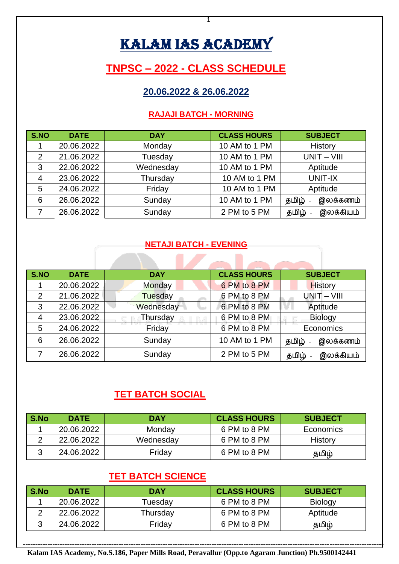# KALAM IAS ACADEMY

# **TNPSC – 2022 - CLASS SCHEDULE**

## **20.06.2022 & 26.06.2022**

#### **RAJAJI BATCH - MORNING**

| S.NO           | <b>DATE</b> | <b>DAY</b> | <b>CLASS HOURS</b> | <b>SUBJECT</b>     |
|----------------|-------------|------------|--------------------|--------------------|
|                | 20.06.2022  | Monday     | 10 AM to 1 PM      | History            |
| $\overline{2}$ | 21.06.2022  | Tuesday    | 10 AM to 1 PM      | $UNIT - VIII$      |
| 3              | 22.06.2022  | Wednesday  | 10 AM to 1 PM      | Aptitude           |
| $\overline{4}$ | 23.06.2022  | Thursday   | 10 AM to 1 PM      | UNIT-IX            |
| 5              | 24.06.2022  | Friday     | 10 AM to 1 PM      | Aptitude           |
| 6              | 26.06.2022  | Sunday     | 10 AM to 1 PM      | இலக்கணம்<br>தமிழ்  |
|                | 26.06.2022  | Sunday     | 2 PM to 5 PM       | இலக்கியம்<br>தமிழ் |

#### **NETAJI BATCH - EVENING**

| S.NO           | <b>DATE</b> | <b>DAY</b> | <b>CLASS HOURS</b> | <b>SUBJECT</b>      |
|----------------|-------------|------------|--------------------|---------------------|
|                | 20.06.2022  | Monday     | 6 PM to 8 PM       | <b>History</b>      |
| $\overline{2}$ | 21.06.2022  | Tuesday    | 6 PM to 8 PM       | $UNIT - VIII$       |
| 3              | 22.06.2022  | Wednesday  | 6 PM to 8 PM       | Aptitude            |
| 4              | 23.06.2022  | Thursday   | 6 PM to 8 PM       | <b>Biology</b>      |
| 5              | 24.06.2022  | Friday     | 6 PM to 8 PM       | Economics           |
| 6              | 26.06.2022  | Sunday     | 10 AM to 1 PM      | இலக்கணம்<br>தமிழ் - |
|                | 26.06.2022  | Sunday     | 2 PM to 5 PM       | இலக்கியம்<br>தமிழ்  |

# **TET BATCH SOCIAL**

| S.No | <b>DATE</b> | <b>DAY</b> | <b>CLASS HOURS</b> | <b>SUBJECT</b> |
|------|-------------|------------|--------------------|----------------|
|      | 20.06.2022  | Monday     | 6 PM to 8 PM       | Economics      |
|      | 22.06.2022  | Wednesday  | 6 PM to 8 PM       | History        |
|      | 24.06.2022  | Friday     | 6 PM to 8 PM       | தமிழ்          |

## **TET BATCH SCIENCE**

| S.No | <b>DATE</b> | DAY      | <b>CLASS HOURS</b> | <b>SUBJECT</b> |
|------|-------------|----------|--------------------|----------------|
|      | 20.06.2022  | Tuesday  | 6 PM to 8 PM       | <b>Biology</b> |
|      | 22.06.2022  | Thursday | 6 PM to 8 PM       | Aptitude       |
|      | 24.06.2022  | Friday   | 6 PM to 8 PM       | தமிழ்          |

**--------------------------------------------------------------------------------------------------------------------------------------------------- Kalam IAS Academy, No.S.186, Paper Mills Road, Peravallur (Opp.to Agaram Junction) Ph.9500142441**